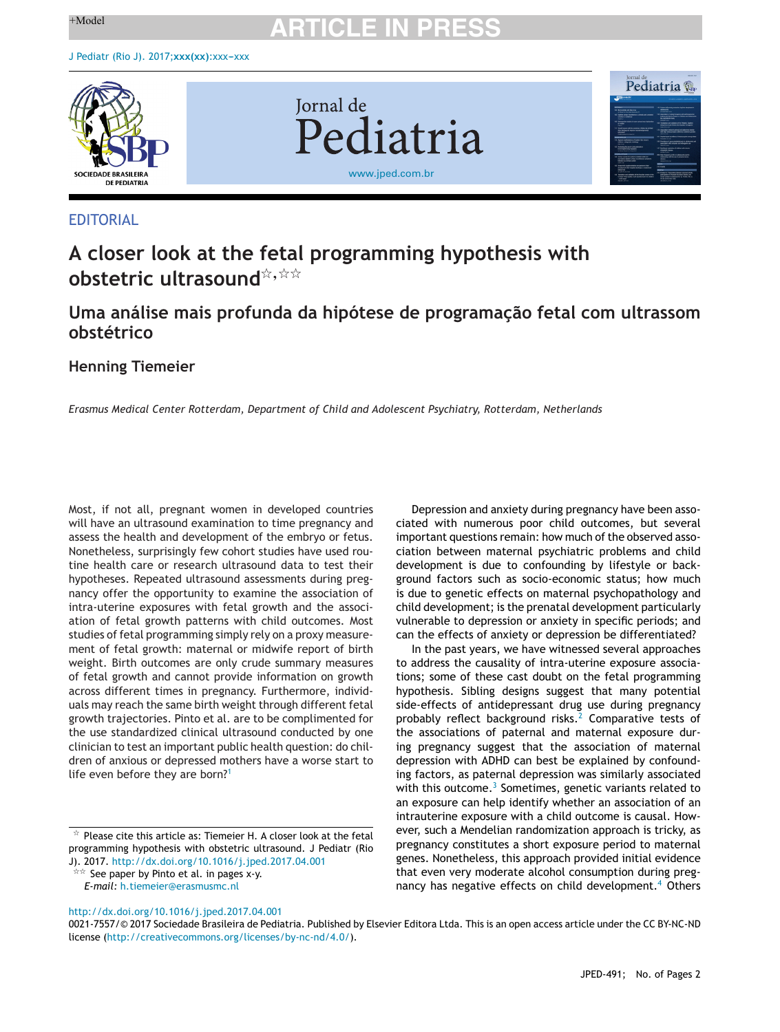# $+$ Model **ARTICLE IN PRESS**



#### EDITORIAL

### **A closer look at the fetal programming hypothesis with**  $\mathsf{abstract}$   $\mathsf{ultrasound}^{\not\approx, \not\approx\not\approx}$

### **Uma análise mais profunda da hipótese de programac¸ão fetal com ultrassom obstétrico**

#### **Henning Tiemeier**

*Erasmus Medical Center Rotterdam, Department of Child and Adolescent Psychiatry, Rotterdam, Netherlands*

Most, if not all, pregnant women in developed countries will have an ultrasound examination to time pregnancy and assess the health and development of the embryo or fetus. Nonetheless, surprisingly few cohort studies have used routine health care or research ultrasound data to test their hypotheses. Repeated ultrasound assessments during pregnancy offer the opportunity to examine the association of intra-uterine exposures with fetal growth and the association of fetal growth patterns with child outcomes. Most studies of fetal programming simply rely on a proxy measurement of fetal growth: maternal or midwife report of birth weight. Birth outcomes are only crude summary measures of fetal growth and cannot provide information on growth across different times in pregnancy. Furthermore, individuals may reach the same birth weight through different fetal growth trajectories. Pinto et al. are to be complimented for the use standardized clinical ultrasound conducted by one clinician to test an important public health question: do children of anxious or depressed mothers have a worse start to life even before they are born?<sup>[1](#page-1-0)</sup>

 $\overline{a}$  See paper by Pinto et al. in pages x-y.

[http://dx.doi.org/10.1016/j.jped.2017.04.001](dx.doi.org/10.1016/j.jped.2017.04.001)

*E-mail:* [h.tiemeier@erasmusmc.nl](mailto:h.tiemeier@erasmusmc.nl)

ciated with numerous poor child outcomes, but several important questions remain: how much of the observed association between maternal psychiatric problems and child development is due to confounding by lifestyle or background factors such as socio-economic status; how much is due to genetic effects on maternal psychopathology and child development; is the prenatal development particularly vulnerable to depression or anxiety in specific periods; and can the effects of anxiety or depression be differentiated?

Depression and anxiety during pregnancy have been asso-

In the past years, we have witnessed several approaches to address the causality of intra-uterine exposure associations; some of these cast doubt on the fetal programming hypothesis. Sibling designs suggest that many potential side-effects of antidepressant drug use during pregnancy probably reflect background risks. $<sup>2</sup>$  $<sup>2</sup>$  $<sup>2</sup>$  Comparative tests of</sup> the associations of paternal and maternal exposure during pregnancy suggest that the association of maternal depression with ADHD can best be explained by confounding factors, as paternal depression was similarly associated with this outcome.<sup>[3](#page-1-0)</sup> Sometimes, genetic variants related to an exposure can help identify whether an association of an intrauterine exposure with a child outcome is causal. However, such a Mendelian randomization approach is tricky, as pregnancy constitutes a short exposure period to maternal genes. Nonetheless, this approach provided initial evidence that even very moderate alcohol consumption during preg-nancy has negative effects on child development.<sup>[4](#page-1-0)</sup> Others

0021-7557/© 2017 Sociedade Brasileira de Pediatria. Published by Elsevier Editora Ltda. This is an open access article under the CC BY-NC-ND license (<http://creativecommons.org/licenses/by-nc-nd/4.0/>).

 $\mathrm{\star}\,$  Please cite this article as: Tiemeier H. A closer look at the fetal programming hypothesis with obstetric ultrasound. J Pediatr (Rio J). 2017. <http://dx.doi.org/10.1016/j.jped.2017.04.001>